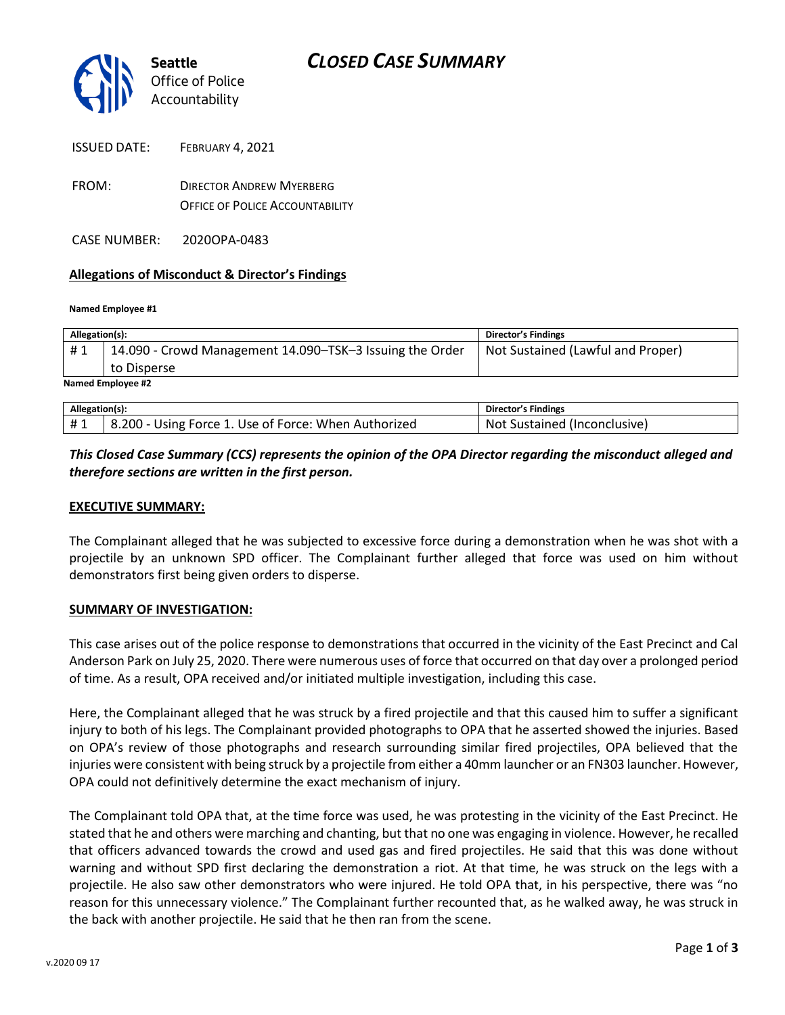

- FROM: DIRECTOR ANDREW MYERBERG OFFICE OF POLICE ACCOUNTABILITY
- CASE NUMBER: 2020OPA-0483

### **Allegations of Misconduct & Director's Findings**

#### **Named Employee #1**

| Allegation(s):    |                                                          | <b>Director's Findings</b>        |
|-------------------|----------------------------------------------------------|-----------------------------------|
| #1                | 14.090 - Crowd Management 14.090–TSK–3 Issuing the Order | Not Sustained (Lawful and Proper) |
|                   | to Disperse                                              |                                   |
| Named Employee #2 |                                                          |                                   |

| Allegation(s): |                                                      | Director's Findings                 |
|----------------|------------------------------------------------------|-------------------------------------|
|                | 8.200 - Using Force 1. Use of Force: When Authorized | : Sustained (Inconclusive)<br>. Not |

### *This Closed Case Summary (CCS) represents the opinion of the OPA Director regarding the misconduct alleged and therefore sections are written in the first person.*

### **EXECUTIVE SUMMARY:**

The Complainant alleged that he was subjected to excessive force during a demonstration when he was shot with a projectile by an unknown SPD officer. The Complainant further alleged that force was used on him without demonstrators first being given orders to disperse.

### **SUMMARY OF INVESTIGATION:**

This case arises out of the police response to demonstrations that occurred in the vicinity of the East Precinct and Cal Anderson Park on July 25, 2020. There were numerous uses of force that occurred on that day over a prolonged period of time. As a result, OPA received and/or initiated multiple investigation, including this case.

Here, the Complainant alleged that he was struck by a fired projectile and that this caused him to suffer a significant injury to both of his legs. The Complainant provided photographs to OPA that he asserted showed the injuries. Based on OPA's review of those photographs and research surrounding similar fired projectiles, OPA believed that the injuries were consistent with being struck by a projectile from either a 40mm launcher or an FN303 launcher. However, OPA could not definitively determine the exact mechanism of injury.

The Complainant told OPA that, at the time force was used, he was protesting in the vicinity of the East Precinct. He stated that he and others were marching and chanting, but that no one was engaging in violence. However, he recalled that officers advanced towards the crowd and used gas and fired projectiles. He said that this was done without warning and without SPD first declaring the demonstration a riot. At that time, he was struck on the legs with a projectile. He also saw other demonstrators who were injured. He told OPA that, in his perspective, there was "no reason for this unnecessary violence." The Complainant further recounted that, as he walked away, he was struck in the back with another projectile. He said that he then ran from the scene.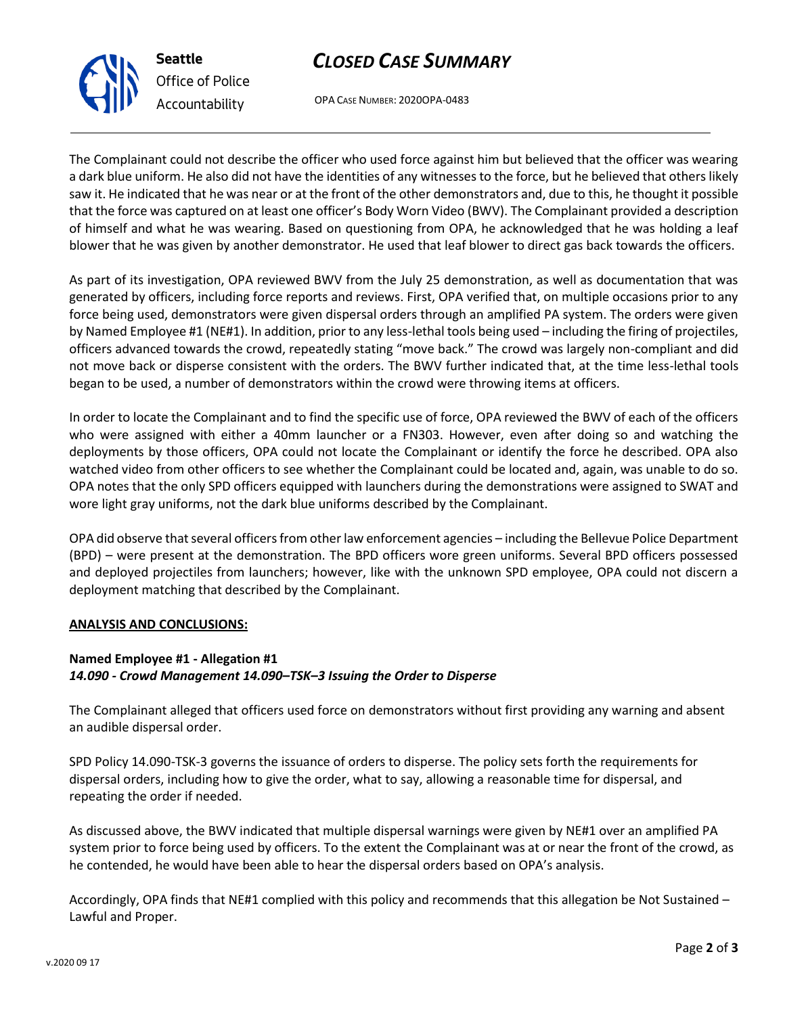# *CLOSED CASE SUMMARY*

OPA CASE NUMBER: 2020OPA-0483

The Complainant could not describe the officer who used force against him but believed that the officer was wearing a dark blue uniform. He also did not have the identities of any witnesses to the force, but he believed that others likely saw it. He indicated that he was near or at the front of the other demonstrators and, due to this, he thought it possible that the force was captured on at least one officer's Body Worn Video (BWV). The Complainant provided a description of himself and what he was wearing. Based on questioning from OPA, he acknowledged that he was holding a leaf blower that he was given by another demonstrator. He used that leaf blower to direct gas back towards the officers.

As part of its investigation, OPA reviewed BWV from the July 25 demonstration, as well as documentation that was generated by officers, including force reports and reviews. First, OPA verified that, on multiple occasions prior to any force being used, demonstrators were given dispersal orders through an amplified PA system. The orders were given by Named Employee #1 (NE#1). In addition, prior to any less-lethal tools being used – including the firing of projectiles, officers advanced towards the crowd, repeatedly stating "move back." The crowd was largely non-compliant and did not move back or disperse consistent with the orders. The BWV further indicated that, at the time less-lethal tools began to be used, a number of demonstrators within the crowd were throwing items at officers.

In order to locate the Complainant and to find the specific use of force, OPA reviewed the BWV of each of the officers who were assigned with either a 40mm launcher or a FN303. However, even after doing so and watching the deployments by those officers, OPA could not locate the Complainant or identify the force he described. OPA also watched video from other officers to see whether the Complainant could be located and, again, was unable to do so. OPA notes that the only SPD officers equipped with launchers during the demonstrations were assigned to SWAT and wore light gray uniforms, not the dark blue uniforms described by the Complainant.

OPA did observe that several officers from other law enforcement agencies – including the Bellevue Police Department (BPD) – were present at the demonstration. The BPD officers wore green uniforms. Several BPD officers possessed and deployed projectiles from launchers; however, like with the unknown SPD employee, OPA could not discern a deployment matching that described by the Complainant.

### **ANALYSIS AND CONCLUSIONS:**

### **Named Employee #1 - Allegation #1** *14.090 - Crowd Management 14.090–TSK–3 Issuing the Order to Disperse*

The Complainant alleged that officers used force on demonstrators without first providing any warning and absent an audible dispersal order.

SPD Policy 14.090-TSK-3 governs the issuance of orders to disperse. The policy sets forth the requirements for dispersal orders, including how to give the order, what to say, allowing a reasonable time for dispersal, and repeating the order if needed.

As discussed above, the BWV indicated that multiple dispersal warnings were given by NE#1 over an amplified PA system prior to force being used by officers. To the extent the Complainant was at or near the front of the crowd, as he contended, he would have been able to hear the dispersal orders based on OPA's analysis.

Accordingly, OPA finds that NE#1 complied with this policy and recommends that this allegation be Not Sustained – Lawful and Proper.



**Seattle** *Office of Police Accountability*